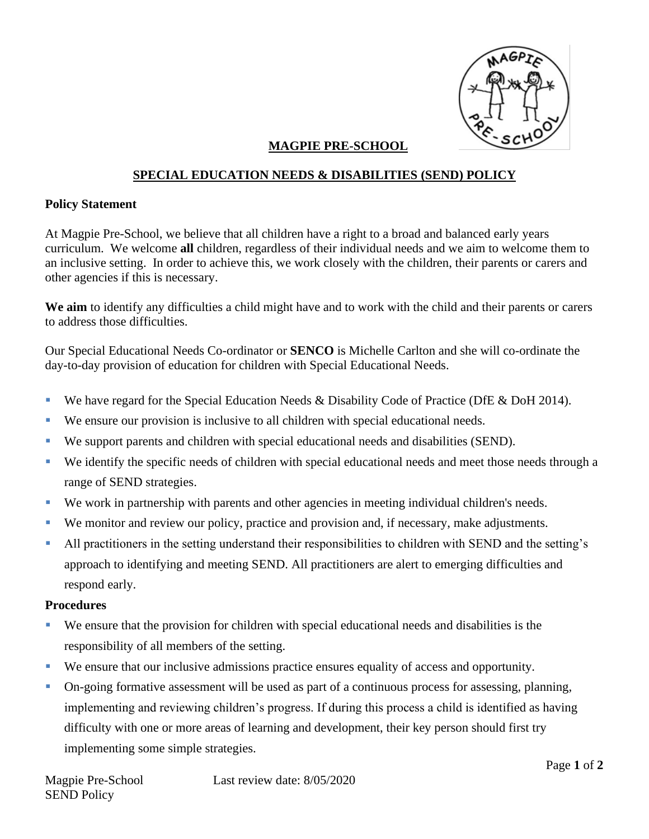

## **MAGPIE PRE-SCHOOL**

## **SPECIAL EDUCATION NEEDS & DISABILITIES (SEND) POLICY**

## **Policy Statement**

At Magpie Pre-School, we believe that all children have a right to a broad and balanced early years curriculum. We welcome **all** children, regardless of their individual needs and we aim to welcome them to an inclusive setting. In order to achieve this, we work closely with the children, their parents or carers and other agencies if this is necessary.

**We aim** to identify any difficulties a child might have and to work with the child and their parents or carers to address those difficulties.

Our Special Educational Needs Co-ordinator or **SENCO** is Michelle Carlton and she will co-ordinate the day-to-day provision of education for children with Special Educational Needs.

- **•** We have regard for the Special Education Needs & Disability Code of Practice (DfE & DoH 2014).
- We ensure our provision is inclusive to all children with special educational needs.
- We support parents and children with special educational needs and disabilities (SEND).
- We identify the specific needs of children with special educational needs and meet those needs through a range of SEND strategies.
- We work in partnership with parents and other agencies in meeting individual children's needs.
- We monitor and review our policy, practice and provision and, if necessary, make adjustments.
- All practitioners in the setting understand their responsibilities to children with SEND and the setting's approach to identifying and meeting SEND. All practitioners are alert to emerging difficulties and respond early.

## **Procedures**

- We ensure that the provision for children with special educational needs and disabilities is the responsibility of all members of the setting.
- We ensure that our inclusive admissions practice ensures equality of access and opportunity.
- On-going formative assessment will be used as part of a continuous process for assessing, planning, implementing and reviewing children's progress. If during this process a child is identified as having difficulty with one or more areas of learning and development, their key person should first try implementing some simple strategies.